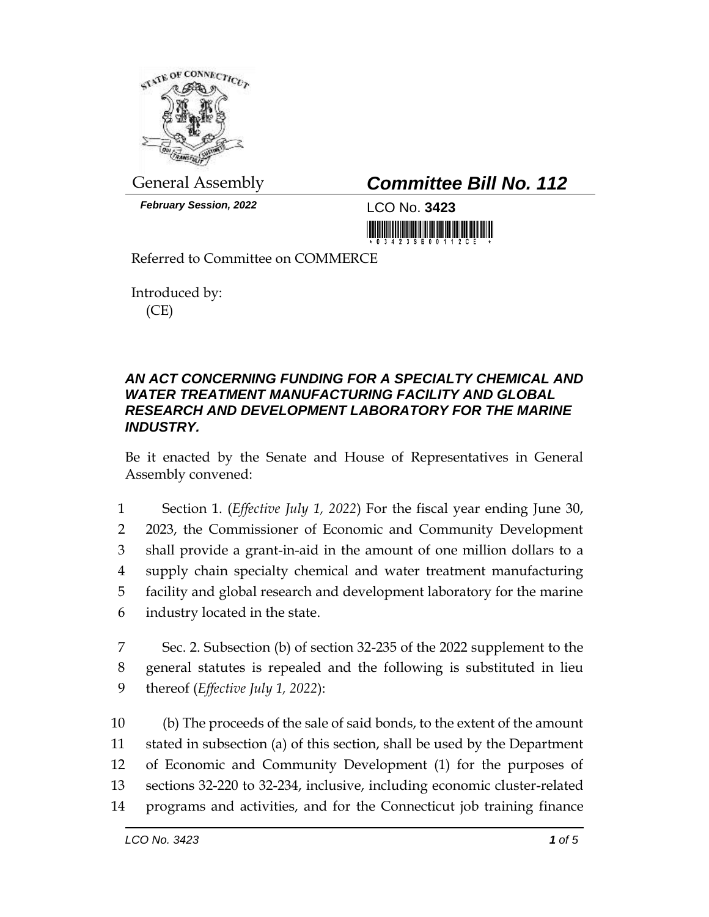

*February Session, 2022* LCO No. **3423**

## General Assembly *Committee Bill No. 112*

<u> Hill Miller Maria Ba</u>

Referred to Committee on COMMERCE

Introduced by: (CE)

## *AN ACT CONCERNING FUNDING FOR A SPECIALTY CHEMICAL AND WATER TREATMENT MANUFACTURING FACILITY AND GLOBAL RESEARCH AND DEVELOPMENT LABORATORY FOR THE MARINE INDUSTRY.*

Be it enacted by the Senate and House of Representatives in General Assembly convened:

 Section 1. (*Effective July 1, 2022*) For the fiscal year ending June 30, 2023, the Commissioner of Economic and Community Development shall provide a grant-in-aid in the amount of one million dollars to a supply chain specialty chemical and water treatment manufacturing facility and global research and development laboratory for the marine industry located in the state.

7 Sec. 2. Subsection (b) of section 32-235 of the 2022 supplement to the 8 general statutes is repealed and the following is substituted in lieu 9 thereof (*Effective July 1, 2022*):

 (b) The proceeds of the sale of said bonds, to the extent of the amount stated in subsection (a) of this section, shall be used by the Department of Economic and Community Development (1) for the purposes of sections 32-220 to 32-234, inclusive, including economic cluster-related programs and activities, and for the Connecticut job training finance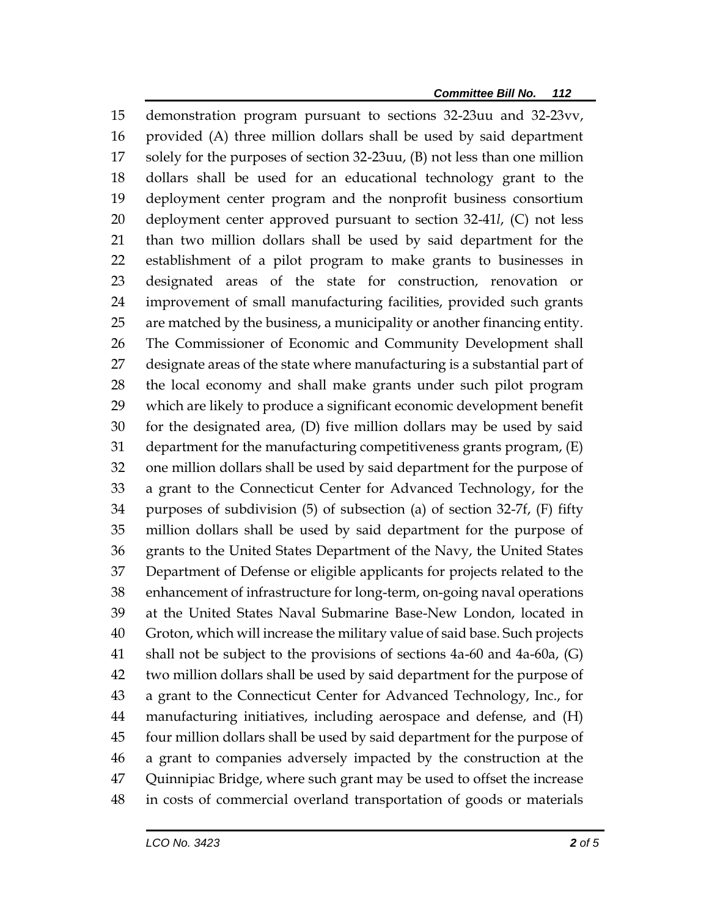demonstration program pursuant to sections 32-23uu and 32-23vv, provided (A) three million dollars shall be used by said department solely for the purposes of section 32-23uu, (B) not less than one million dollars shall be used for an educational technology grant to the deployment center program and the nonprofit business consortium deployment center approved pursuant to section 32-41*l*, (C) not less than two million dollars shall be used by said department for the establishment of a pilot program to make grants to businesses in designated areas of the state for construction, renovation or improvement of small manufacturing facilities, provided such grants are matched by the business, a municipality or another financing entity. The Commissioner of Economic and Community Development shall designate areas of the state where manufacturing is a substantial part of the local economy and shall make grants under such pilot program which are likely to produce a significant economic development benefit for the designated area, (D) five million dollars may be used by said department for the manufacturing competitiveness grants program, (E) one million dollars shall be used by said department for the purpose of a grant to the Connecticut Center for Advanced Technology, for the purposes of subdivision (5) of subsection (a) of section 32-7f, (F) fifty million dollars shall be used by said department for the purpose of grants to the United States Department of the Navy, the United States Department of Defense or eligible applicants for projects related to the enhancement of infrastructure for long-term, on-going naval operations at the United States Naval Submarine Base-New London, located in Groton, which will increase the military value of said base. Such projects shall not be subject to the provisions of sections 4a-60 and 4a-60a, (G) two million dollars shall be used by said department for the purpose of a grant to the Connecticut Center for Advanced Technology, Inc., for manufacturing initiatives, including aerospace and defense, and (H) four million dollars shall be used by said department for the purpose of a grant to companies adversely impacted by the construction at the Quinnipiac Bridge, where such grant may be used to offset the increase in costs of commercial overland transportation of goods or materials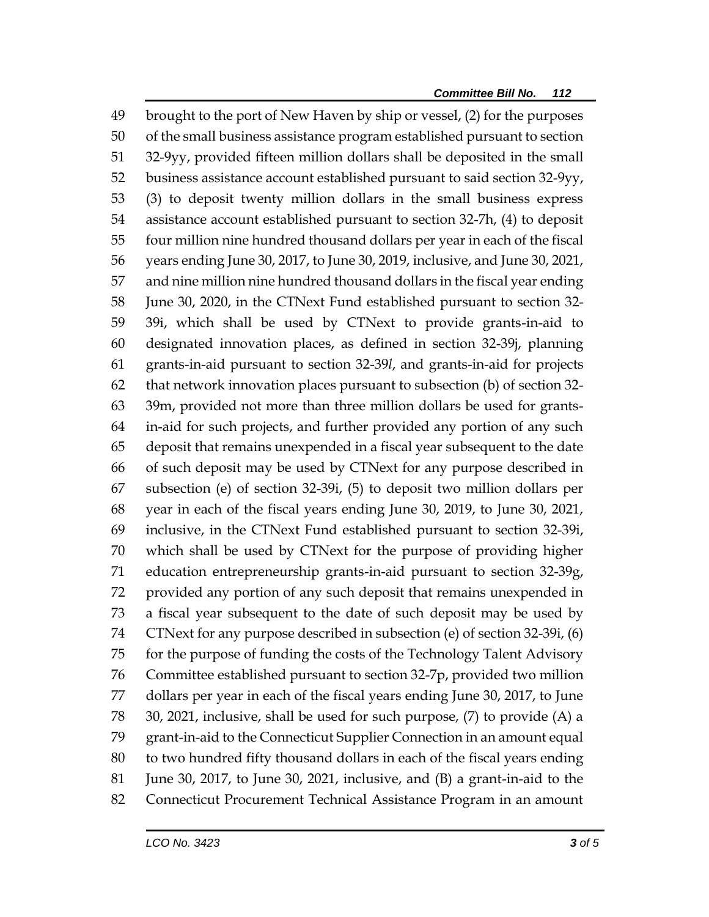brought to the port of New Haven by ship or vessel, (2) for the purposes of the small business assistance program established pursuant to section 32-9yy, provided fifteen million dollars shall be deposited in the small business assistance account established pursuant to said section 32-9yy, (3) to deposit twenty million dollars in the small business express assistance account established pursuant to section 32-7h, (4) to deposit four million nine hundred thousand dollars per year in each of the fiscal years ending June 30, 2017, to June 30, 2019, inclusive, and June 30, 2021, and nine million nine hundred thousand dollars in the fiscal year ending June 30, 2020, in the CTNext Fund established pursuant to section 32- 39i, which shall be used by CTNext to provide grants-in-aid to designated innovation places, as defined in section 32-39j, planning grants-in-aid pursuant to section 32-39*l*, and grants-in-aid for projects that network innovation places pursuant to subsection (b) of section 32- 39m, provided not more than three million dollars be used for grants- in-aid for such projects, and further provided any portion of any such deposit that remains unexpended in a fiscal year subsequent to the date of such deposit may be used by CTNext for any purpose described in subsection (e) of section 32-39i, (5) to deposit two million dollars per year in each of the fiscal years ending June 30, 2019, to June 30, 2021, inclusive, in the CTNext Fund established pursuant to section 32-39i, which shall be used by CTNext for the purpose of providing higher education entrepreneurship grants-in-aid pursuant to section 32-39g, provided any portion of any such deposit that remains unexpended in a fiscal year subsequent to the date of such deposit may be used by CTNext for any purpose described in subsection (e) of section 32-39i, (6) for the purpose of funding the costs of the Technology Talent Advisory Committee established pursuant to section 32-7p, provided two million dollars per year in each of the fiscal years ending June 30, 2017, to June 30, 2021, inclusive, shall be used for such purpose, (7) to provide (A) a grant-in-aid to the Connecticut Supplier Connection in an amount equal to two hundred fifty thousand dollars in each of the fiscal years ending June 30, 2017, to June 30, 2021, inclusive, and (B) a grant-in-aid to the Connecticut Procurement Technical Assistance Program in an amount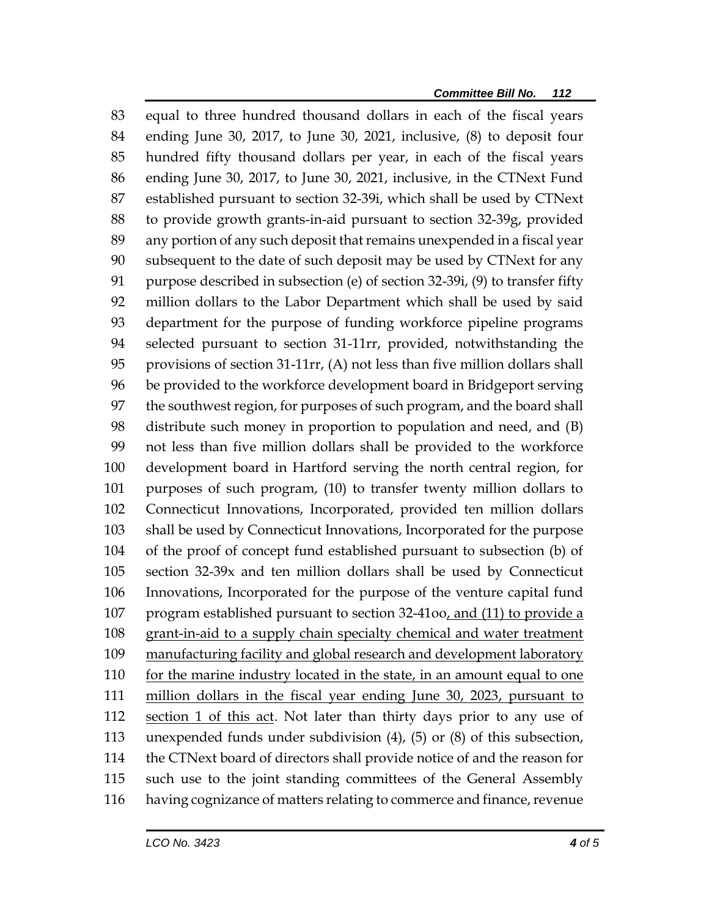equal to three hundred thousand dollars in each of the fiscal years ending June 30, 2017, to June 30, 2021, inclusive, (8) to deposit four hundred fifty thousand dollars per year, in each of the fiscal years ending June 30, 2017, to June 30, 2021, inclusive, in the CTNext Fund established pursuant to section 32-39i, which shall be used by CTNext to provide growth grants-in-aid pursuant to section 32-39g, provided any portion of any such deposit that remains unexpended in a fiscal year subsequent to the date of such deposit may be used by CTNext for any purpose described in subsection (e) of section 32-39i, (9) to transfer fifty million dollars to the Labor Department which shall be used by said department for the purpose of funding workforce pipeline programs selected pursuant to section 31-11rr, provided, notwithstanding the provisions of section 31-11rr, (A) not less than five million dollars shall be provided to the workforce development board in Bridgeport serving the southwest region, for purposes of such program, and the board shall distribute such money in proportion to population and need, and (B) not less than five million dollars shall be provided to the workforce development board in Hartford serving the north central region, for purposes of such program, (10) to transfer twenty million dollars to Connecticut Innovations, Incorporated, provided ten million dollars shall be used by Connecticut Innovations, Incorporated for the purpose of the proof of concept fund established pursuant to subsection (b) of section 32-39x and ten million dollars shall be used by Connecticut Innovations, Incorporated for the purpose of the venture capital fund program established pursuant to section 32-41oo, and (11) to provide a grant-in-aid to a supply chain specialty chemical and water treatment 109 manufacturing facility and global research and development laboratory 110 for the marine industry located in the state, in an amount equal to one million dollars in the fiscal year ending June 30, 2023, pursuant to 112 section 1 of this act. Not later than thirty days prior to any use of unexpended funds under subdivision (4), (5) or (8) of this subsection, the CTNext board of directors shall provide notice of and the reason for such use to the joint standing committees of the General Assembly having cognizance of matters relating to commerce and finance, revenue